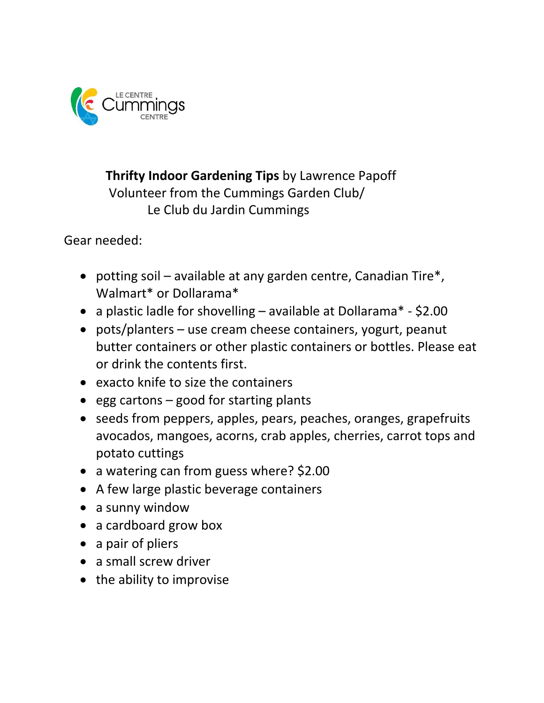

 **Thrifty Indoor Gardening Tips** by Lawrence Papoff Volunteer from the Cummings Garden Club/ Le Club du Jardin Cummings

Gear needed:

- potting soil available at any garden centre, Canadian Tire\*, Walmart\* or Dollarama\*
- a plastic ladle for shovelling available at Dollarama\* \$2.00
- pots/planters use cream cheese containers, yogurt, peanut butter containers or other plastic containers or bottles. Please eat or drink the contents first.
- exacto knife to size the containers
- egg cartons  $-$  good for starting plants
- seeds from peppers, apples, pears, peaches, oranges, grapefruits avocados, mangoes, acorns, crab apples, cherries, carrot tops and potato cuttings
- a watering can from guess where? \$2.00
- A few large plastic beverage containers
- a sunny window
- a cardboard grow box
- a pair of pliers
- a small screw driver
- the ability to improvise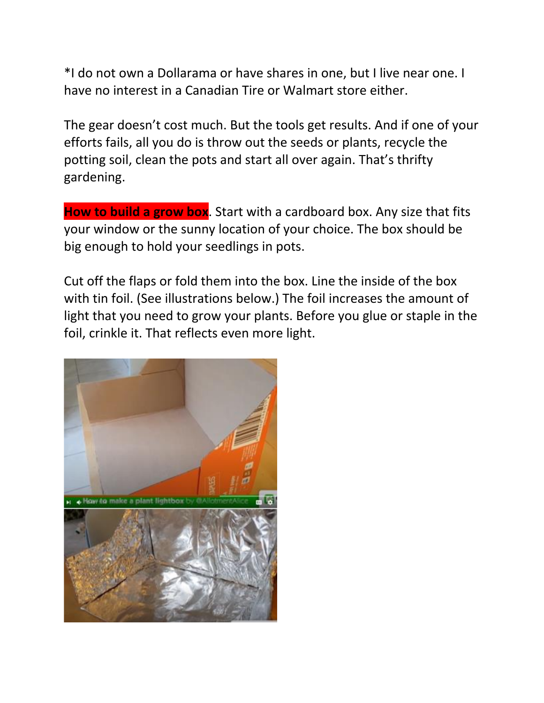\*I do not own a Dollarama or have shares in one, but I live near one. I have no interest in a Canadian Tire or Walmart store either.

The gear doesn't cost much. But the tools get results. And if one of your efforts fails, all you do is throw out the seeds or plants, recycle the potting soil, clean the pots and start all over again. That's thrifty gardening.

**How to build a grow box**. Start with a cardboard box. Any size that fits your window or the sunny location of your choice. The box should be big enough to hold your seedlings in pots.

Cut off the flaps or fold them into the box. Line the inside of the box with tin foil. (See illustrations below.) The foil increases the amount of light that you need to grow your plants. Before you glue or staple in the foil, crinkle it. That reflects even more light.

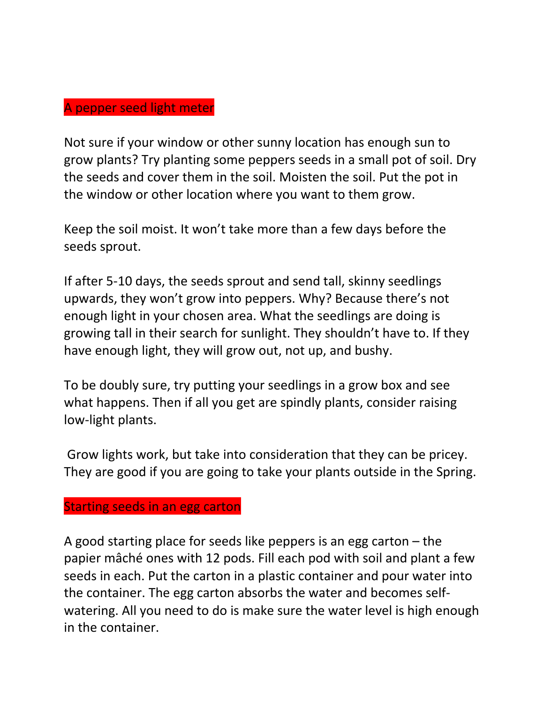### A pepper seed light meter

Not sure if your window or other sunny location has enough sun to grow plants? Try planting some peppers seeds in a small pot of soil. Dry the seeds and cover them in the soil. Moisten the soil. Put the pot in the window or other location where you want to them grow.

Keep the soil moist. It won't take more than a few days before the seeds sprout.

If after 5-10 days, the seeds sprout and send tall, skinny seedlings upwards, they won't grow into peppers. Why? Because there's not enough light in your chosen area. What the seedlings are doing is growing tall in their search for sunlight. They shouldn't have to. If they have enough light, they will grow out, not up, and bushy.

To be doubly sure, try putting your seedlings in a grow box and see what happens. Then if all you get are spindly plants, consider raising low-light plants.

Grow lights work, but take into consideration that they can be pricey. They are good if you are going to take your plants outside in the Spring.

#### Starting seeds in an egg carton

A good starting place for seeds like peppers is an egg carton – the papier mâché ones with 12 pods. Fill each pod with soil and plant a few seeds in each. Put the carton in a plastic container and pour water into the container. The egg carton absorbs the water and becomes selfwatering. All you need to do is make sure the water level is high enough in the container.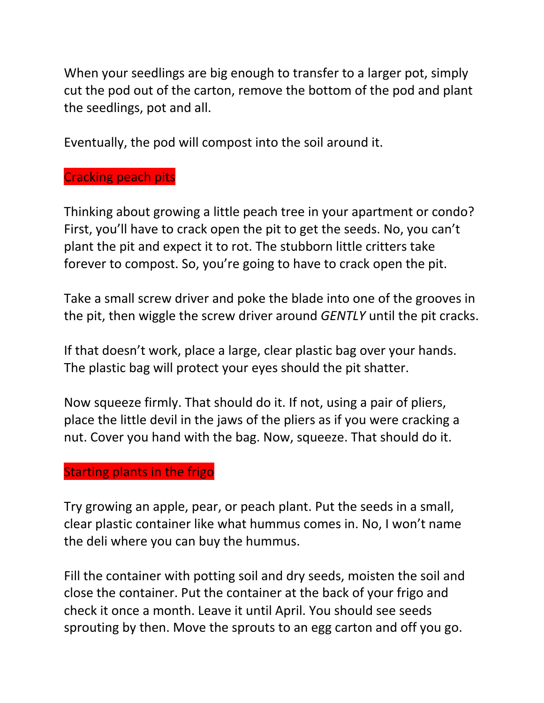When your seedlings are big enough to transfer to a larger pot, simply cut the pod out of the carton, remove the bottom of the pod and plant the seedlings, pot and all.

Eventually, the pod will compost into the soil around it.

# Cracking peach pits

Thinking about growing a little peach tree in your apartment or condo? First, you'll have to crack open the pit to get the seeds. No, you can't plant the pit and expect it to rot. The stubborn little critters take forever to compost. So, you're going to have to crack open the pit.

Take a small screw driver and poke the blade into one of the grooves in the pit, then wiggle the screw driver around *GENTLY* until the pit cracks.

If that doesn't work, place a large, clear plastic bag over your hands. The plastic bag will protect your eyes should the pit shatter.

Now squeeze firmly. That should do it. If not, using a pair of pliers, place the little devil in the jaws of the pliers as if you were cracking a nut. Cover you hand with the bag. Now, squeeze. That should do it.

## Starting plants in the frigo

Try growing an apple, pear, or peach plant. Put the seeds in a small, clear plastic container like what hummus comes in. No, I won't name the deli where you can buy the hummus.

Fill the container with potting soil and dry seeds, moisten the soil and close the container. Put the container at the back of your frigo and check it once a month. Leave it until April. You should see seeds sprouting by then. Move the sprouts to an egg carton and off you go.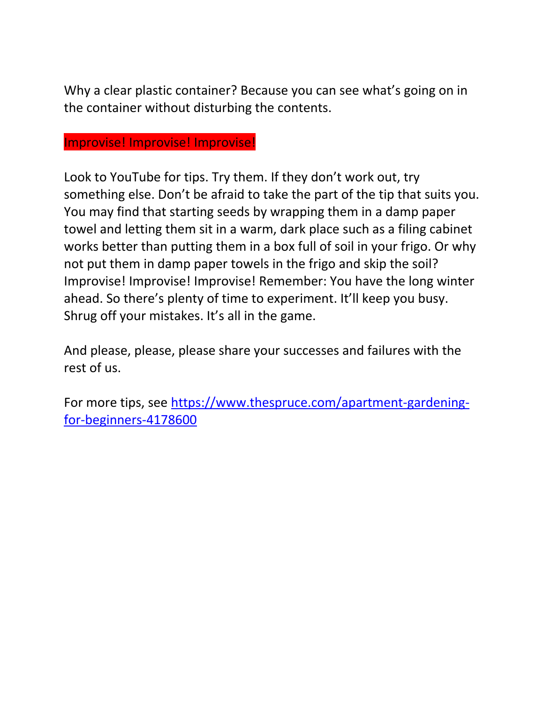Why a clear plastic container? Because you can see what's going on in the container without disturbing the contents.

## Improvise! Improvise! Improvise!

Look to YouTube for tips. Try them. If they don't work out, try something else. Don't be afraid to take the part of the tip that suits you. You may find that starting seeds by wrapping them in a damp paper towel and letting them sit in a warm, dark place such as a filing cabinet works better than putting them in a box full of soil in your frigo. Or why not put them in damp paper towels in the frigo and skip the soil? Improvise! Improvise! Improvise! Remember: You have the long winter ahead. So there's plenty of time to experiment. It'll keep you busy. Shrug off your mistakes. It's all in the game.

And please, please, please share your successes and failures with the rest of us.

For more tips, see [https://www.thespruce.com/apartment-gardening](https://www.thespruce.com/apartment-gardening-for-beginners-4178600)[for-beginners-4178600](https://www.thespruce.com/apartment-gardening-for-beginners-4178600)